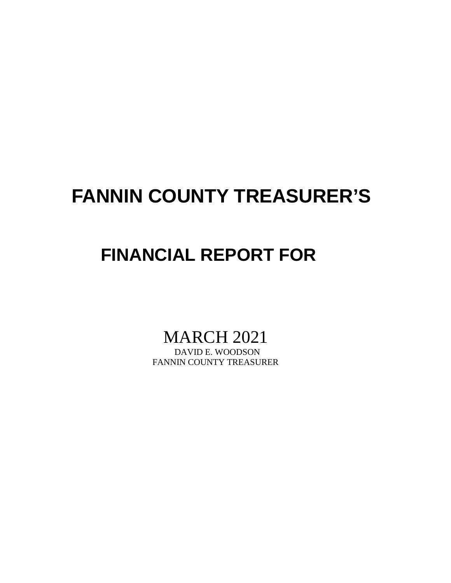## **FANNIN COUNTY TREASURER'S**

## **FINANCIAL REPORT FOR**

# MARCH 2021

FANNIN COUNTY TREASURER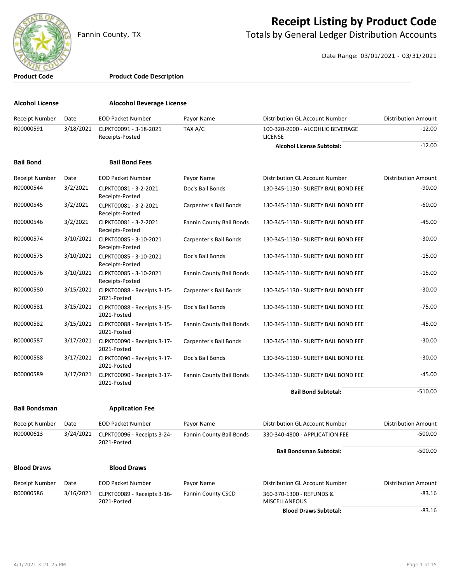

#### **Receipt Listing by Product Code**

Fannin County, TX **The County of Totals by General Ledger Distribution Accounts** 

Date Range: 03/01/2021 - 03/31/2021

#### **Product Code Product Code Description**

| <b>Alcohol License</b> |           | <b>Alocohol Beverage License</b>           |                           |                                                    |                            |
|------------------------|-----------|--------------------------------------------|---------------------------|----------------------------------------------------|----------------------------|
| Receipt Number         | Date      | <b>EOD Packet Number</b>                   | Payor Name                | Distribution GL Account Number                     | <b>Distribution Amount</b> |
| R00000591              | 3/18/2021 | CLPKT00091 - 3-18-2021<br>Receipts-Posted  | TAX A/C                   | 100-320-2000 - ALCOHLIC BEVERAGE<br><b>LICENSE</b> | $-12.00$                   |
|                        |           |                                            |                           | <b>Alcohol License Subtotal:</b>                   | $-12.00$                   |
| <b>Bail Bond</b>       |           | <b>Bail Bond Fees</b>                      |                           |                                                    |                            |
| Receipt Number         | Date      | <b>EOD Packet Number</b>                   | Payor Name                | Distribution GL Account Number                     | <b>Distribution Amount</b> |
| R00000544              | 3/2/2021  | CLPKT00081 - 3-2-2021<br>Receipts-Posted   | Doc's Bail Bonds          | 130-345-1130 - SURETY BAIL BOND FEE                | $-90.00$                   |
| R00000545              | 3/2/2021  | CLPKT00081 - 3-2-2021<br>Receipts-Posted   | Carpenter's Bail Bonds    | 130-345-1130 - SURETY BAIL BOND FEE                | $-60.00$                   |
| R00000546              | 3/2/2021  | CLPKT00081 - 3-2-2021<br>Receipts-Posted   | Fannin County Bail Bonds  | 130-345-1130 - SURETY BAIL BOND FEE                | $-45.00$                   |
| R00000574              | 3/10/2021 | CLPKT00085 - 3-10-2021<br>Receipts-Posted  | Carpenter's Bail Bonds    | 130-345-1130 - SURETY BAIL BOND FEE                | $-30.00$                   |
| R00000575              | 3/10/2021 | CLPKT00085 - 3-10-2021<br>Receipts-Posted  | Doc's Bail Bonds          | 130-345-1130 - SURETY BAIL BOND FEE                | $-15.00$                   |
| R00000576              | 3/10/2021 | CLPKT00085 - 3-10-2021<br>Receipts-Posted  | Fannin County Bail Bonds  | 130-345-1130 - SURETY BAIL BOND FEE                | $-15.00$                   |
| R00000580              | 3/15/2021 | CLPKT00088 - Receipts 3-15-<br>2021-Posted | Carpenter's Bail Bonds    | 130-345-1130 - SURETY BAIL BOND FEE                | $-30.00$                   |
| R00000581              | 3/15/2021 | CLPKT00088 - Receipts 3-15-<br>2021-Posted | Doc's Bail Bonds          | 130-345-1130 - SURETY BAIL BOND FEE                | $-75.00$                   |
| R00000582              | 3/15/2021 | CLPKT00088 - Receipts 3-15-<br>2021-Posted | Fannin County Bail Bonds  | 130-345-1130 - SURETY BAIL BOND FEE                | $-45.00$                   |
| R00000587              | 3/17/2021 | CLPKT00090 - Receipts 3-17-<br>2021-Posted | Carpenter's Bail Bonds    | 130-345-1130 - SURETY BAIL BOND FEE                | $-30.00$                   |
| R00000588              | 3/17/2021 | CLPKT00090 - Receipts 3-17-<br>2021-Posted | Doc's Bail Bonds          | 130-345-1130 - SURETY BAIL BOND FEE                | $-30.00$                   |
| R00000589              | 3/17/2021 | CLPKT00090 - Receipts 3-17-<br>2021-Posted | Fannin County Bail Bonds  | 130-345-1130 - SURETY BAIL BOND FEE                | $-45.00$                   |
|                        |           |                                            |                           | <b>Bail Bond Subtotal:</b>                         | $-510.00$                  |
| <b>Bail Bondsman</b>   |           | <b>Application Fee</b>                     |                           |                                                    |                            |
| Receipt Number         | Date      | <b>EOD Packet Number</b>                   | Payor Name                | <b>Distribution GL Account Number</b>              | <b>Distribution Amount</b> |
| R00000613              | 3/24/2021 | CLPKT00096 - Receipts 3-24-<br>2021-Posted | Fannin County Bail Bonds  | 330-340-4800 - APPLICATION FEE                     | $-500.00$                  |
|                        |           |                                            |                           | <b>Bail Bondsman Subtotal:</b>                     | $-500.00$                  |
| <b>Blood Draws</b>     |           | <b>Blood Draws</b>                         |                           |                                                    |                            |
| <b>Receipt Number</b>  | Date      | <b>EOD Packet Number</b>                   | Payor Name                | Distribution GL Account Number                     | <b>Distribution Amount</b> |
| R00000586              | 3/16/2021 | CLPKT00089 - Receipts 3-16-<br>2021-Posted | <b>Fannin County CSCD</b> | 360-370-1300 - REFUNDS &<br><b>MISCELLANEOUS</b>   | $-83.16$                   |
|                        |           |                                            |                           | <b>Blood Draws Subtotal:</b>                       | $-83.16$                   |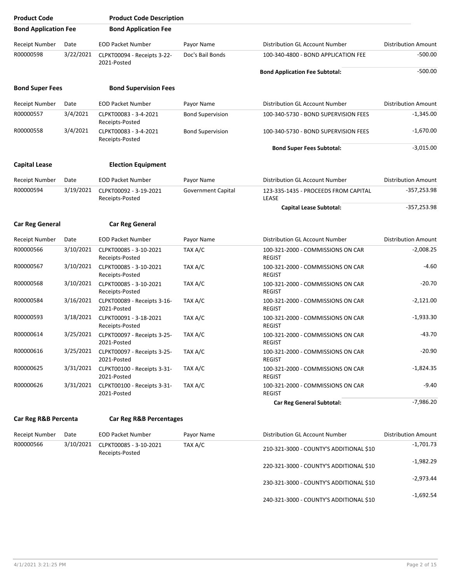| <b>Product Code</b>         |           | <b>Product Code Description</b>                      |                         |                                                    |                            |
|-----------------------------|-----------|------------------------------------------------------|-------------------------|----------------------------------------------------|----------------------------|
| <b>Bond Application Fee</b> |           | <b>Bond Application Fee</b>                          |                         |                                                    |                            |
| Receipt Number              | Date      | <b>EOD Packet Number</b>                             | Payor Name              | Distribution GL Account Number                     | <b>Distribution Amount</b> |
| R00000598                   | 3/22/2021 | CLPKT00094 - Receipts 3-22-<br>2021-Posted           | Doc's Bail Bonds        | 100-340-4800 - BOND APPLICATION FEE                | $-500.00$                  |
|                             |           |                                                      |                         | <b>Bond Application Fee Subtotal:</b>              | $-500.00$                  |
| <b>Bond Super Fees</b>      |           | <b>Bond Supervision Fees</b>                         |                         |                                                    |                            |
| Receipt Number              | Date      | <b>EOD Packet Number</b>                             | Payor Name              | Distribution GL Account Number                     | <b>Distribution Amount</b> |
| R00000557                   | 3/4/2021  | CLPKT00083 - 3-4-2021<br>Receipts-Posted             | <b>Bond Supervision</b> | 100-340-5730 - BOND SUPERVISION FEES               | $-1,345.00$                |
| R00000558                   | 3/4/2021  | CLPKT00083 - 3-4-2021<br>Receipts-Posted             | <b>Bond Supervision</b> | 100-340-5730 - BOND SUPERVISION FEES               | $-1,670.00$                |
|                             |           |                                                      |                         | <b>Bond Super Fees Subtotal:</b>                   | $-3,015.00$                |
| <b>Capital Lease</b>        |           | <b>Election Equipment</b>                            |                         |                                                    |                            |
| Receipt Number              | Date      | <b>EOD Packet Number</b>                             | Payor Name              | Distribution GL Account Number                     | <b>Distribution Amount</b> |
| R00000594                   | 3/19/2021 | CLPKT00092 - 3-19-2021<br>Receipts-Posted            | Government Capital      | 123-335-1435 - PROCEEDS FROM CAPITAL<br>LEASE      | $-357,253.98$              |
|                             |           |                                                      |                         | <b>Capital Lease Subtotal:</b>                     | $-357,253.98$              |
| <b>Car Reg General</b>      |           | <b>Car Reg General</b>                               |                         |                                                    |                            |
| Receipt Number              | Date      | <b>EOD Packet Number</b>                             | Payor Name              | Distribution GL Account Number                     | <b>Distribution Amount</b> |
| R00000566                   | 3/10/2021 | CLPKT00085 - 3-10-2021<br>Receipts-Posted            | TAX A/C                 | 100-321-2000 - COMMISSIONS ON CAR<br><b>REGIST</b> | $-2,008.25$                |
| R00000567                   | 3/10/2021 | CLPKT00085 - 3-10-2021<br>Receipts-Posted            | TAX A/C                 | 100-321-2000 - COMMISSIONS ON CAR<br><b>REGIST</b> | $-4.60$                    |
| R00000568                   | 3/10/2021 | CLPKT00085 - 3-10-2021<br>Receipts-Posted            | TAX A/C                 | 100-321-2000 - COMMISSIONS ON CAR<br><b>REGIST</b> | $-20.70$                   |
| R00000584                   | 3/16/2021 | CLPKT00089 - Receipts 3-16-<br>2021-Posted           | TAX A/C                 | 100-321-2000 - COMMISSIONS ON CAR<br><b>REGIST</b> | $-2,121.00$                |
| R00000593                   | 3/18/2021 | CLPKT00091 - 3-18-2021<br>Receipts-Posted            | TAX A/C                 | 100-321-2000 - COMMISSIONS ON CAR<br><b>REGIST</b> | $-1,933.30$                |
| R00000614                   | 3/25/2021 | CLPKT00097 - Receipts 3-25-<br>2021-Posted           | TAX A/C                 | 100-321-2000 - COMMISSIONS ON CAR<br><b>REGIST</b> | $-43.70$                   |
| R00000616                   | 3/25/2021 | CLPKT00097 - Receipts 3-25-<br>2021-Posted           | TAX A/C                 | 100-321-2000 - COMMISSIONS ON CAR<br><b>REGIST</b> | $-20.90$                   |
| R00000625                   | 3/31/2021 | CLPKT00100 - Receipts 3-31-<br>2021-Posted           | TAX A/C                 | 100-321-2000 - COMMISSIONS ON CAR<br><b>REGIST</b> | $-1,824.35$                |
| R00000626                   |           | 3/31/2021 CLPKT00100 - Receipts 3-31-<br>2021-Posted | TAX A/C                 | 100-321-2000 - COMMISSIONS ON CAR<br><b>REGIST</b> | $-9.40$                    |
|                             |           |                                                      |                         | <b>Car Reg General Subtotal:</b>                   | $-7,986.20$                |
| Car Reg R&B Percenta        |           | <b>Car Reg R&amp;B Percentages</b>                   |                         |                                                    |                            |
| Receipt Number              | Date      | <b>EOD Packet Number</b>                             | Payor Name              | Distribution GL Account Number                     | <b>Distribution Amount</b> |
| R00000566                   | 3/10/2021 | CLPKT00085 - 3-10-2021<br>Receipts-Posted            | TAX A/C                 | 210-321-3000 - COUNTY'S ADDITIONAL \$10            | $-1,701.73$                |
|                             |           |                                                      |                         | 220-321-3000 - COUNTY'S ADDITIONAL \$10            | $-1,982.29$                |

-1,692.54 240-321-3000 - COUNTY'S ADDITIONAL \$10

-2,973.44 230-321-3000 - COUNTY'S ADDITIONAL \$10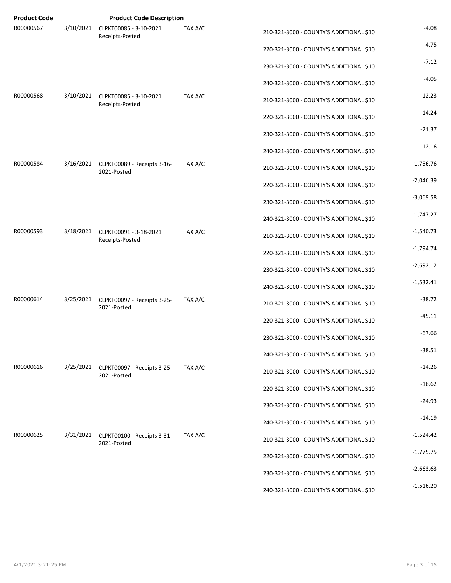| <b>Product Code</b> |           | <b>Product Code Description</b>                      |         |                                         |             |
|---------------------|-----------|------------------------------------------------------|---------|-----------------------------------------|-------------|
| R00000567           | 3/10/2021 | CLPKT00085 - 3-10-2021<br>Receipts-Posted            | TAX A/C | 210-321-3000 - COUNTY'S ADDITIONAL \$10 | $-4.08$     |
|                     |           |                                                      |         | 220-321-3000 - COUNTY'S ADDITIONAL \$10 | $-4.75$     |
|                     |           |                                                      |         | 230-321-3000 - COUNTY'S ADDITIONAL \$10 | $-7.12$     |
|                     |           |                                                      |         | 240-321-3000 - COUNTY'S ADDITIONAL \$10 | $-4.05$     |
| R00000568           | 3/10/2021 | CLPKT00085 - 3-10-2021<br>Receipts-Posted            | TAX A/C | 210-321-3000 - COUNTY'S ADDITIONAL \$10 | $-12.23$    |
|                     |           |                                                      |         | 220-321-3000 - COUNTY'S ADDITIONAL \$10 | $-14.24$    |
|                     |           |                                                      |         | 230-321-3000 - COUNTY'S ADDITIONAL \$10 | $-21.37$    |
|                     |           |                                                      |         | 240-321-3000 - COUNTY'S ADDITIONAL \$10 | $-12.16$    |
| R00000584           | 3/16/2021 | CLPKT00089 - Receipts 3-16-<br>2021-Posted           | TAX A/C | 210-321-3000 - COUNTY'S ADDITIONAL \$10 | $-1,756.76$ |
|                     |           |                                                      |         | 220-321-3000 - COUNTY'S ADDITIONAL \$10 | $-2,046.39$ |
|                     |           |                                                      |         | 230-321-3000 - COUNTY'S ADDITIONAL \$10 | $-3,069.58$ |
|                     |           |                                                      |         | 240-321-3000 - COUNTY'S ADDITIONAL \$10 | $-1,747.27$ |
| R00000593           | 3/18/2021 | CLPKT00091 - 3-18-2021<br>Receipts-Posted            | TAX A/C | 210-321-3000 - COUNTY'S ADDITIONAL \$10 | $-1,540.73$ |
|                     |           |                                                      |         | 220-321-3000 - COUNTY'S ADDITIONAL \$10 | $-1,794.74$ |
|                     |           |                                                      |         | 230-321-3000 - COUNTY'S ADDITIONAL \$10 | $-2,692.12$ |
|                     |           |                                                      |         | 240-321-3000 - COUNTY'S ADDITIONAL \$10 | $-1,532.41$ |
| R00000614           | 3/25/2021 | CLPKT00097 - Receipts 3-25-<br>2021-Posted           | TAX A/C | 210-321-3000 - COUNTY'S ADDITIONAL \$10 | $-38.72$    |
|                     |           |                                                      |         | 220-321-3000 - COUNTY'S ADDITIONAL \$10 | $-45.11$    |
|                     |           |                                                      |         | 230-321-3000 - COUNTY'S ADDITIONAL \$10 | $-67.66$    |
|                     |           |                                                      |         | 240-321-3000 - COUNTY'S ADDITIONAL \$10 | $-38.51$    |
| R00000616           | 3/25/2021 | CLPKT00097 - Receipts 3-25-<br>2021-Posted           | TAX A/C | 210-321-3000 - COUNTY'S ADDITIONAL \$10 | $-14.26$    |
|                     |           |                                                      |         | 220-321-3000 - COUNTY'S ADDITIONAL \$10 | $-16.62$    |
|                     |           |                                                      |         | 230-321-3000 - COUNTY'S ADDITIONAL \$10 | $-24.93$    |
|                     |           |                                                      |         | 240-321-3000 - COUNTY'S ADDITIONAL \$10 | $-14.19$    |
| R00000625           |           | 3/31/2021 CLPKT00100 - Receipts 3-31-<br>2021-Posted | TAX A/C | 210-321-3000 - COUNTY'S ADDITIONAL \$10 | $-1,524.42$ |
|                     |           |                                                      |         | 220-321-3000 - COUNTY'S ADDITIONAL \$10 | $-1,775.75$ |
|                     |           |                                                      |         | 230-321-3000 - COUNTY'S ADDITIONAL \$10 | $-2,663.63$ |
|                     |           |                                                      |         | 240-321-3000 - COUNTY'S ADDITIONAL \$10 | $-1,516.20$ |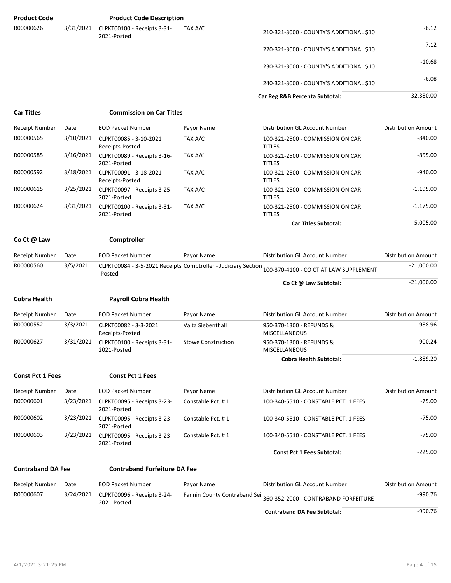| <b>Product Code</b>      |           | <b>Product Code Description</b>            |                           |                                                                                                       |                            |
|--------------------------|-----------|--------------------------------------------|---------------------------|-------------------------------------------------------------------------------------------------------|----------------------------|
| R00000626                | 3/31/2021 | CLPKT00100 - Receipts 3-31-<br>2021-Posted | TAX A/C                   | 210-321-3000 - COUNTY'S ADDITIONAL \$10                                                               | $-6.12$                    |
|                          |           |                                            |                           | 220-321-3000 - COUNTY'S ADDITIONAL \$10                                                               | $-7.12$                    |
|                          |           |                                            |                           | 230-321-3000 - COUNTY'S ADDITIONAL \$10                                                               | $-10.68$                   |
|                          |           |                                            |                           | 240-321-3000 - COUNTY'S ADDITIONAL \$10                                                               | $-6.08$                    |
|                          |           |                                            |                           | Car Reg R&B Percenta Subtotal:                                                                        | $-32,380.00$               |
| <b>Car Titles</b>        |           | <b>Commission on Car Titles</b>            |                           |                                                                                                       |                            |
| <b>Receipt Number</b>    | Date      | <b>EOD Packet Number</b>                   | Payor Name                | Distribution GL Account Number                                                                        | <b>Distribution Amount</b> |
| R00000565                | 3/10/2021 | CLPKT00085 - 3-10-2021<br>Receipts-Posted  | TAX A/C                   | 100-321-2500 - COMMISSION ON CAR<br><b>TITLES</b>                                                     | $-840.00$                  |
| R00000585                | 3/16/2021 | CLPKT00089 - Receipts 3-16-<br>2021-Posted | TAX A/C                   | 100-321-2500 - COMMISSION ON CAR<br><b>TITLES</b>                                                     | $-855.00$                  |
| R00000592                | 3/18/2021 | CLPKT00091 - 3-18-2021<br>Receipts-Posted  | TAX A/C                   | 100-321-2500 - COMMISSION ON CAR<br><b>TITLES</b>                                                     | $-940.00$                  |
| R00000615                | 3/25/2021 | CLPKT00097 - Receipts 3-25-<br>2021-Posted | TAX A/C                   | 100-321-2500 - COMMISSION ON CAR<br><b>TITLES</b>                                                     | $-1,195.00$                |
| R00000624                | 3/31/2021 | CLPKT00100 - Receipts 3-31-<br>2021-Posted | TAX A/C                   | 100-321-2500 - COMMISSION ON CAR<br><b>TITLES</b>                                                     | $-1,175.00$                |
|                          |           |                                            |                           | <b>Car Titles Subtotal:</b>                                                                           | $-5,005.00$                |
| Co Ct @ Law              |           | Comptroller                                |                           |                                                                                                       |                            |
| Receipt Number           | Date      | <b>EOD Packet Number</b>                   | Payor Name                | Distribution GL Account Number                                                                        | <b>Distribution Amount</b> |
| R00000560                | 3/5/2021  | -Posted                                    |                           | CLPKT00084 - 3-5-2021 Receipts Comptroller - Judiciary Section 100-370-4100 - CO CT AT LAW SUPPLEMENT | $-21,000.00$               |
|                          |           |                                            |                           | Co Ct @ Law Subtotal:                                                                                 | $-21,000.00$               |
| <b>Cobra Health</b>      |           | <b>Payroll Cobra Health</b>                |                           |                                                                                                       |                            |
| <b>Receipt Number</b>    | Date      | <b>EOD Packet Number</b>                   | Payor Name                | Distribution GL Account Number                                                                        | <b>Distribution Amount</b> |
| R00000552                | 3/3/2021  | CLPKT00082 - 3-3-2021<br>Receipts-Posted   | Valta Siebenthall         | 950-370-1300 - REFUNDS &<br><b>MISCELLANEOUS</b>                                                      | $-988.96$                  |
| R00000627                | 3/31/2021 | CLPKT00100 - Receipts 3-31-<br>2021-Posted | <b>Stowe Construction</b> | 950-370-1300 - REFUNDS &<br><b>MISCELLANEOUS</b>                                                      | $-900.24$                  |
|                          |           |                                            |                           | <b>Cobra Health Subtotal:</b>                                                                         | $-1,889.20$                |
| <b>Const Pct 1 Fees</b>  |           | <b>Const Pct 1 Fees</b>                    |                           |                                                                                                       |                            |
| <b>Receipt Number</b>    | Date      | <b>EOD Packet Number</b>                   | Payor Name                | Distribution GL Account Number                                                                        | <b>Distribution Amount</b> |
| R00000601                | 3/23/2021 | CLPKT00095 - Receipts 3-23-<br>2021-Posted | Constable Pct. #1         | 100-340-5510 - CONSTABLE PCT. 1 FEES                                                                  | $-75.00$                   |
| R00000602                | 3/23/2021 | CLPKT00095 - Receipts 3-23-<br>2021-Posted | Constable Pct. #1         | 100-340-5510 - CONSTABLE PCT, 1 FEES                                                                  | $-75.00$                   |
| R00000603                | 3/23/2021 | CLPKT00095 - Receipts 3-23-<br>2021-Posted | Constable Pct. #1         | 100-340-5510 - CONSTABLE PCT. 1 FEES                                                                  | $-75.00$                   |
|                          |           |                                            |                           | <b>Const Pct 1 Fees Subtotal:</b>                                                                     | $-225.00$                  |
| <b>Contraband DA Fee</b> |           | <b>Contraband Forfeiture DA Fee</b>        |                           |                                                                                                       |                            |
| Receipt Number           | Date      | <b>EOD Packet Number</b>                   | Payor Name                | Distribution GL Account Number                                                                        | <b>Distribution Amount</b> |
| R00000607                | 3/24/2021 | CLPKT00096 - Receipts 3-24-<br>2021-Posted |                           | Fannin County Contraband Seiz<br>360-352-2000 - CONTRABAND FORFEITURE                                 | $-990.76$                  |
|                          |           |                                            |                           | <b>Contraband DA Fee Subtotal:</b>                                                                    | $-990.76$                  |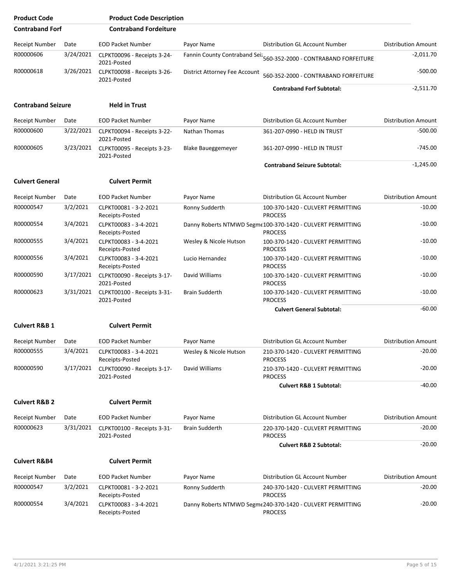| <b>Product Code</b>       |           | <b>Product Code Description</b>            |                               |                                                                               |                            |
|---------------------------|-----------|--------------------------------------------|-------------------------------|-------------------------------------------------------------------------------|----------------------------|
| <b>Contraband Forf</b>    |           | <b>Contraband Fordeiture</b>               |                               |                                                                               |                            |
| <b>Receipt Number</b>     | Date      | <b>EOD Packet Number</b>                   | Payor Name                    | Distribution GL Account Number                                                | <b>Distribution Amount</b> |
| R00000606                 | 3/24/2021 | CLPKT00096 - Receipts 3-24-<br>2021-Posted |                               | Fannin County Contraband Seiz <sub>560-352-2000</sub> - CONTRABAND FORFEITURE | $-2,011.70$                |
| R00000618                 | 3/26/2021 | CLPKT00098 - Receipts 3-26-<br>2021-Posted | District Attorney Fee Account | 560-352-2000 - CONTRABAND FORFEITURE                                          | $-500.00$                  |
|                           |           |                                            |                               | <b>Contraband Forf Subtotal:</b>                                              | $-2,511.70$                |
| <b>Contraband Seizure</b> |           | <b>Held in Trust</b>                       |                               |                                                                               |                            |
| <b>Receipt Number</b>     | Date      | <b>EOD Packet Number</b>                   | Payor Name                    | Distribution GL Account Number                                                | <b>Distribution Amount</b> |
| R00000600                 | 3/22/2021 | CLPKT00094 - Receipts 3-22-<br>2021-Posted | Nathan Thomas                 | 361-207-0990 - HELD IN TRUST                                                  | $-500.00$                  |
| R00000605                 | 3/23/2021 | CLPKT00095 - Receipts 3-23-<br>2021-Posted | <b>Blake Baueggemeyer</b>     | 361-207-0990 - HELD IN TRUST                                                  | $-745.00$                  |
|                           |           |                                            |                               | <b>Contraband Seizure Subtotal:</b>                                           | $-1,245.00$                |
| <b>Culvert General</b>    |           | <b>Culvert Permit</b>                      |                               |                                                                               |                            |
| <b>Receipt Number</b>     | Date      | <b>EOD Packet Number</b>                   | Payor Name                    | <b>Distribution GL Account Number</b>                                         | <b>Distribution Amount</b> |
| R00000547                 | 3/2/2021  | CLPKT00081 - 3-2-2021<br>Receipts-Posted   | Ronny Sudderth                | 100-370-1420 - CULVERT PERMITTING<br><b>PROCESS</b>                           | $-10.00$                   |
| R00000554                 | 3/4/2021  | CLPKT00083 - 3-4-2021<br>Receipts-Posted   |                               | Danny Roberts NTMWD Segme100-370-1420 - CULVERT PERMITTING<br><b>PROCESS</b>  | $-10.00$                   |
| R00000555                 | 3/4/2021  | CLPKT00083 - 3-4-2021<br>Receipts-Posted   | Wesley & Nicole Hutson        | 100-370-1420 - CULVERT PERMITTING<br><b>PROCESS</b>                           | $-10.00$                   |
| R00000556                 | 3/4/2021  | CLPKT00083 - 3-4-2021<br>Receipts-Posted   | Lucio Hernandez               | 100-370-1420 - CULVERT PERMITTING<br><b>PROCESS</b>                           | $-10.00$                   |
| R00000590                 | 3/17/2021 | CLPKT00090 - Receipts 3-17-<br>2021-Posted | David Williams                | 100-370-1420 - CULVERT PERMITTING<br><b>PROCESS</b>                           | $-10.00$                   |
| R00000623                 | 3/31/2021 | CLPKT00100 - Receipts 3-31-<br>2021-Posted | <b>Brain Sudderth</b>         | 100-370-1420 - CULVERT PERMITTING<br><b>PROCESS</b>                           | $-10.00$                   |
|                           |           |                                            |                               | <b>Culvert General Subtotal:</b>                                              | $-60.00$                   |
| <b>Culvert R&amp;B 1</b>  |           | <b>Culvert Permit</b>                      |                               |                                                                               |                            |
| Receipt Number            | Date      | <b>EOD Packet Number</b>                   | Payor Name                    | Distribution GL Account Number                                                | <b>Distribution Amount</b> |
| R00000555                 | 3/4/2021  | CLPKT00083 - 3-4-2021<br>Receipts-Posted   | Wesley & Nicole Hutson        | 210-370-1420 - CULVERT PERMITTING<br><b>PROCESS</b>                           | $-20.00$                   |
| R00000590                 | 3/17/2021 | CLPKT00090 - Receipts 3-17-<br>2021-Posted | David Williams                | 210-370-1420 - CULVERT PERMITTING<br><b>PROCESS</b>                           | $-20.00$                   |
|                           |           |                                            |                               | <b>Culvert R&amp;B 1 Subtotal:</b>                                            | $-40.00$                   |
| <b>Culvert R&amp;B 2</b>  |           | <b>Culvert Permit</b>                      |                               |                                                                               |                            |
| <b>Receipt Number</b>     | Date      | <b>EOD Packet Number</b>                   | Payor Name                    | Distribution GL Account Number                                                | <b>Distribution Amount</b> |
| R00000623                 | 3/31/2021 | CLPKT00100 - Receipts 3-31-<br>2021-Posted | <b>Brain Sudderth</b>         | 220-370-1420 - CULVERT PERMITTING<br><b>PROCESS</b>                           | $-20.00$                   |
|                           |           |                                            |                               | <b>Culvert R&amp;B 2 Subtotal:</b>                                            | $-20.00$                   |
| <b>Culvert R&amp;B4</b>   |           | <b>Culvert Permit</b>                      |                               |                                                                               |                            |
| Receipt Number            | Date      | <b>EOD Packet Number</b>                   | Payor Name                    | Distribution GL Account Number                                                | <b>Distribution Amount</b> |
| R00000547                 | 3/2/2021  | CLPKT00081 - 3-2-2021<br>Receipts-Posted   | Ronny Sudderth                | 240-370-1420 - CULVERT PERMITTING<br><b>PROCESS</b>                           | $-20.00$                   |
| R00000554                 | 3/4/2021  | CLPKT00083 - 3-4-2021<br>Receipts-Posted   |                               | Danny Roberts NTMWD Segme240-370-1420 - CULVERT PERMITTING<br><b>PROCESS</b>  | $-20.00$                   |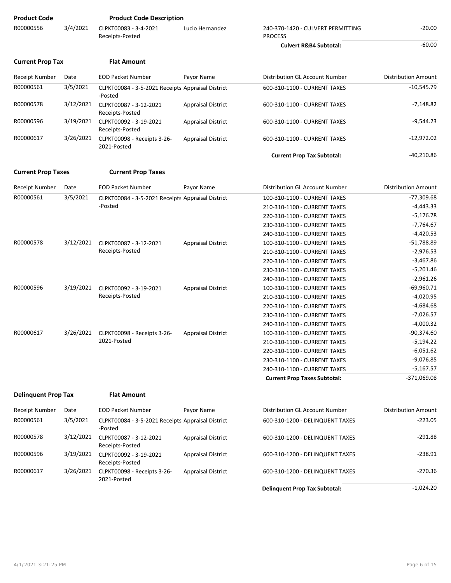| <b>Product Code</b>        |           | <b>Product Code Description</b>                              |                           |                                                     |                            |
|----------------------------|-----------|--------------------------------------------------------------|---------------------------|-----------------------------------------------------|----------------------------|
| R00000556                  | 3/4/2021  | CLPKT00083 - 3-4-2021<br>Receipts-Posted                     | Lucio Hernandez           | 240-370-1420 - CULVERT PERMITTING<br><b>PROCESS</b> | $-20.00$                   |
|                            |           |                                                              |                           | <b>Culvert R&amp;B4 Subtotal:</b>                   | $-60.00$                   |
| <b>Current Prop Tax</b>    |           | <b>Flat Amount</b>                                           |                           |                                                     |                            |
| Receipt Number             | Date      | <b>EOD Packet Number</b>                                     | Payor Name                | Distribution GL Account Number                      | <b>Distribution Amount</b> |
| R00000561                  | 3/5/2021  | CLPKT00084 - 3-5-2021 Receipts Appraisal District<br>-Posted |                           | 600-310-1100 - CURRENT TAXES                        | $-10,545.79$               |
| R00000578                  | 3/12/2021 | CLPKT00087 - 3-12-2021<br>Receipts-Posted                    | <b>Appraisal District</b> | 600-310-1100 - CURRENT TAXES                        | $-7,148.82$                |
| R00000596                  | 3/19/2021 | CLPKT00092 - 3-19-2021<br>Receipts-Posted                    | <b>Appraisal District</b> | 600-310-1100 - CURRENT TAXES                        | $-9,544.23$                |
| R00000617                  | 3/26/2021 | CLPKT00098 - Receipts 3-26-<br>2021-Posted                   | <b>Appraisal District</b> | 600-310-1100 - CURRENT TAXES                        | $-12,972.02$               |
|                            |           |                                                              |                           | <b>Current Prop Tax Subtotal:</b>                   | $-40,210.86$               |
| <b>Current Prop Taxes</b>  |           | <b>Current Prop Taxes</b>                                    |                           |                                                     |                            |
| Receipt Number             | Date      | <b>EOD Packet Number</b>                                     | Payor Name                | Distribution GL Account Number                      | <b>Distribution Amount</b> |
| R00000561                  | 3/5/2021  | CLPKT00084 - 3-5-2021 Receipts Appraisal District            |                           | 100-310-1100 - CURRENT TAXES                        | $-77,309.68$               |
|                            |           | -Posted                                                      |                           | 210-310-1100 - CURRENT TAXES                        | $-4,443.33$                |
|                            |           |                                                              |                           | 220-310-1100 - CURRENT TAXES                        | $-5,176.78$                |
|                            |           |                                                              |                           | 230-310-1100 - CURRENT TAXES                        | $-7,764.67$                |
|                            |           |                                                              |                           | 240-310-1100 - CURRENT TAXES                        | $-4,420.53$                |
| R00000578                  | 3/12/2021 | CLPKT00087 - 3-12-2021                                       | <b>Appraisal District</b> | 100-310-1100 - CURRENT TAXES                        | $-51,788.89$               |
|                            |           | Receipts-Posted                                              |                           | 210-310-1100 - CURRENT TAXES                        | $-2,976.53$                |
|                            |           |                                                              |                           | 220-310-1100 - CURRENT TAXES                        | $-3,467.86$                |
|                            |           |                                                              |                           | 230-310-1100 - CURRENT TAXES                        | $-5,201.46$                |
|                            |           |                                                              |                           | 240-310-1100 - CURRENT TAXES                        | $-2,961.26$                |
| R00000596                  | 3/19/2021 | CLPKT00092 - 3-19-2021                                       | <b>Appraisal District</b> | 100-310-1100 - CURRENT TAXES                        | $-69,960.71$               |
|                            |           | Receipts-Posted                                              |                           | 210-310-1100 - CURRENT TAXES                        | $-4,020.95$                |
|                            |           |                                                              |                           | 220-310-1100 - CURRENT TAXES                        | $-4,684.68$                |
|                            |           |                                                              |                           | 230-310-1100 - CURRENT TAXES                        | $-7,026.57$                |
|                            |           |                                                              |                           | 240-310-1100 - CURRENT TAXES                        | $-4,000.32$                |
| R00000617                  | 3/26/2021 | CLPKT00098 - Receipts 3-26-                                  | <b>Appraisal District</b> | 100-310-1100 - CURRENT TAXES                        | $-90,374.60$               |
|                            |           | 2021-Posted                                                  |                           | 210-310-1100 - CURRENT TAXES                        | $-5,194.22$                |
|                            |           |                                                              |                           | 220-310-1100 - CURRENT TAXES                        | $-6,051.62$                |
|                            |           |                                                              |                           | 230-310-1100 - CURRENT TAXES                        | $-9,076.85$                |
|                            |           |                                                              |                           | 240-310-1100 - CURRENT TAXES                        | $-5,167.57$                |
|                            |           |                                                              |                           | <b>Current Prop Taxes Subtotal:</b>                 | $-371,069.08$              |
| <b>Delinquent Prop Tax</b> |           | <b>Flat Amount</b>                                           |                           |                                                     |                            |
|                            |           |                                                              |                           |                                                     |                            |
| Receipt Number             | Date      | <b>EOD Packet Number</b>                                     | Payor Name                | Distribution GL Account Number                      | Distribution Amount        |

| <b>Receipt Number</b> | Date      | <b>EOD Packet Number</b>                                     | Payor Name                | Distribution GL Account Number       | <b>Distribution Amount</b> |
|-----------------------|-----------|--------------------------------------------------------------|---------------------------|--------------------------------------|----------------------------|
| R00000561             | 3/5/2021  | CLPKT00084 - 3-5-2021 Receipts Appraisal District<br>-Posted |                           | 600-310-1200 - DELINQUENT TAXES      | $-223.05$                  |
| R00000578             | 3/12/2021 | CLPKT00087 - 3-12-2021<br>Receipts-Posted                    | <b>Appraisal District</b> | 600-310-1200 - DELINQUENT TAXES      | $-291.88$                  |
| R00000596             | 3/19/2021 | CLPKT00092 - 3-19-2021<br>Receipts-Posted                    | <b>Appraisal District</b> | 600-310-1200 - DELINQUENT TAXES      | $-238.91$                  |
| R00000617             | 3/26/2021 | CLPKT00098 - Receipts 3-26-<br>2021-Posted                   | <b>Appraisal District</b> | 600-310-1200 - DELINQUENT TAXES      | $-270.36$                  |
|                       |           |                                                              |                           | <b>Delinquent Prop Tax Subtotal:</b> | $-1.024.20$                |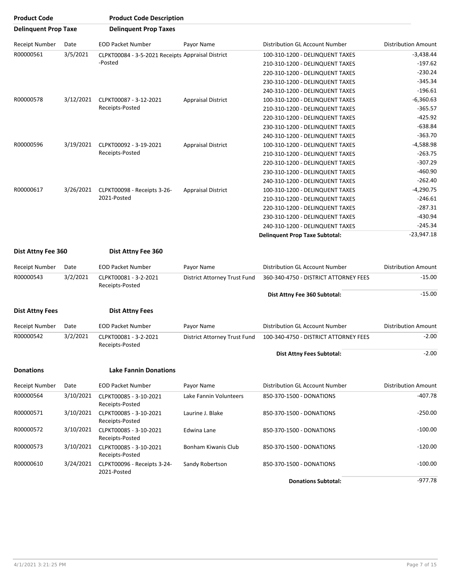| <b>Product Code</b>         |           | <b>Product Code Description</b>                   |                                     |                                       |                            |
|-----------------------------|-----------|---------------------------------------------------|-------------------------------------|---------------------------------------|----------------------------|
| <b>Delinguent Prop Taxe</b> |           | <b>Delinquent Prop Taxes</b>                      |                                     |                                       |                            |
| Receipt Number              | Date      | <b>EOD Packet Number</b>                          | Payor Name                          | Distribution GL Account Number        | <b>Distribution Amount</b> |
| R00000561                   | 3/5/2021  | CLPKT00084 - 3-5-2021 Receipts Appraisal District |                                     | 100-310-1200 - DELINQUENT TAXES       | $-3,438.44$                |
|                             |           | -Posted                                           |                                     | 210-310-1200 - DELINQUENT TAXES       | $-197.62$                  |
|                             |           |                                                   |                                     | 220-310-1200 - DELINQUENT TAXES       | $-230.24$                  |
|                             |           |                                                   |                                     | 230-310-1200 - DELINQUENT TAXES       | $-345.34$                  |
|                             |           |                                                   |                                     | 240-310-1200 - DELINQUENT TAXES       | $-196.61$                  |
| R00000578                   | 3/12/2021 | CLPKT00087 - 3-12-2021                            | <b>Appraisal District</b>           | 100-310-1200 - DELINQUENT TAXES       | $-6,360.63$                |
|                             |           | Receipts-Posted                                   |                                     | 210-310-1200 - DELINQUENT TAXES       | $-365.57$                  |
|                             |           |                                                   |                                     | 220-310-1200 - DELINQUENT TAXES       | $-425.92$                  |
|                             |           |                                                   |                                     | 230-310-1200 - DELINQUENT TAXES       | $-638.84$                  |
|                             |           |                                                   |                                     | 240-310-1200 - DELINQUENT TAXES       | $-363.70$                  |
| R00000596                   | 3/19/2021 | CLPKT00092 - 3-19-2021                            | <b>Appraisal District</b>           | 100-310-1200 - DELINQUENT TAXES       | -4,588.98                  |
|                             |           | Receipts-Posted                                   |                                     | 210-310-1200 - DELINQUENT TAXES       | $-263.75$                  |
|                             |           |                                                   |                                     | 220-310-1200 - DELINQUENT TAXES       | $-307.29$                  |
|                             |           |                                                   |                                     | 230-310-1200 - DELINQUENT TAXES       | $-460.90$                  |
|                             |           |                                                   | <b>Appraisal District</b>           | 240-310-1200 - DELINQUENT TAXES       | $-262.40$                  |
| R00000617                   | 3/26/2021 | CLPKT00098 - Receipts 3-26-                       |                                     | 100-310-1200 - DELINQUENT TAXES       | $-4,290.75$                |
|                             |           | 2021-Posted                                       |                                     | 210-310-1200 - DELINQUENT TAXES       | $-246.61$                  |
|                             |           |                                                   |                                     | 220-310-1200 - DELINQUENT TAXES       | $-287.31$                  |
|                             |           |                                                   |                                     | 230-310-1200 - DELINQUENT TAXES       | $-430.94$                  |
|                             |           |                                                   |                                     | 240-310-1200 - DELINQUENT TAXES       | $-245.34$                  |
|                             |           |                                                   |                                     |                                       | $-23,947.18$               |
|                             |           |                                                   |                                     | <b>Delinquent Prop Taxe Subtotal:</b> |                            |
| Dist Attny Fee 360          |           | Dist Attny Fee 360                                |                                     |                                       |                            |
| Receipt Number              | Date      | <b>EOD Packet Number</b>                          | Payor Name                          | Distribution GL Account Number        | <b>Distribution Amount</b> |
| R00000543                   | 3/2/2021  | CLPKT00081 - 3-2-2021<br>Receipts-Posted          | District Attorney Trust Fund        | 360-340-4750 - DISTRICT ATTORNEY FEES | $-15.00$                   |
|                             |           |                                                   |                                     | Dist Attny Fee 360 Subtotal:          | $-15.00$                   |
| <b>Dist Attny Fees</b>      |           | <b>Dist Attny Fees</b>                            |                                     |                                       |                            |
| <b>Receipt Number</b>       | Date      | <b>EOD Packet Number</b>                          | Payor Name                          | Distribution GL Account Number        | <b>Distribution Amount</b> |
| R00000542                   | 3/2/2021  | CLPKT00081 - 3-2-2021<br>Receipts-Posted          | <b>District Attorney Trust Fund</b> | 100-340-4750 - DISTRICT ATTORNEY FEES | $-2.00$                    |
|                             |           |                                                   |                                     | Dist Attny Fees Subtotal:             | $-2.00$                    |
| <b>Donations</b>            |           | <b>Lake Fannin Donations</b>                      |                                     |                                       |                            |
| Receipt Number              | Date      | <b>EOD Packet Number</b>                          | Payor Name                          | Distribution GL Account Number        | <b>Distribution Amount</b> |
| R00000564                   | 3/10/2021 | CLPKT00085 - 3-10-2021<br>Receipts-Posted         | Lake Fannin Volunteers              | 850-370-1500 - DONATIONS              | $-407.78$                  |
| R00000571                   | 3/10/2021 | CLPKT00085 - 3-10-2021<br>Receipts-Posted         | Laurine J. Blake                    | 850-370-1500 - DONATIONS              | $-250.00$                  |
| R00000572                   | 3/10/2021 | CLPKT00085 - 3-10-2021<br>Receipts-Posted         | Edwina Lane                         | 850-370-1500 - DONATIONS              | $-100.00$                  |
| R00000573                   | 3/10/2021 | CLPKT00085 - 3-10-2021<br>Receipts-Posted         | Bonham Kiwanis Club                 | 850-370-1500 - DONATIONS              | $-120.00$                  |
| R00000610                   | 3/24/2021 | CLPKT00096 - Receipts 3-24-<br>2021-Posted        | Sandy Robertson                     | 850-370-1500 - DONATIONS              | $-100.00$                  |
|                             |           |                                                   |                                     | <b>Donations Subtotal:</b>            | $-977.78$                  |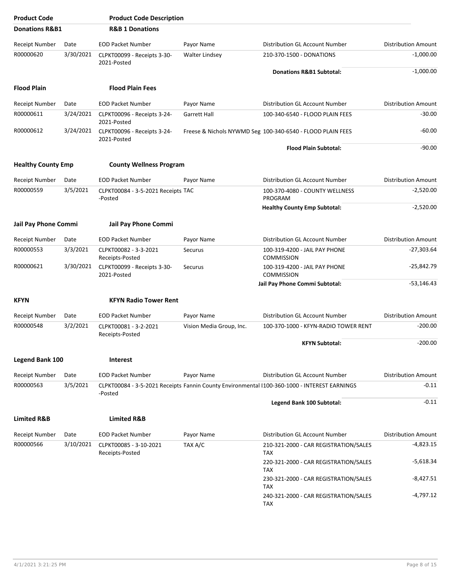| <b>Product Code</b>         |           | <b>Product Code Description</b>               |                          |                                                                                              |                            |
|-----------------------------|-----------|-----------------------------------------------|--------------------------|----------------------------------------------------------------------------------------------|----------------------------|
| <b>Donations R&amp;B1</b>   |           | <b>R&amp;B 1 Donations</b>                    |                          |                                                                                              |                            |
| Receipt Number              | Date      | <b>EOD Packet Number</b>                      | Payor Name               | Distribution GL Account Number                                                               | <b>Distribution Amount</b> |
| R00000620                   | 3/30/2021 | CLPKT00099 - Receipts 3-30-<br>2021-Posted    | Walter Lindsey           | 210-370-1500 - DONATIONS                                                                     | $-1,000.00$                |
|                             |           |                                               |                          | Donations R&B1 Subtotal:                                                                     | $-1,000.00$                |
| <b>Flood Plain</b>          |           | <b>Flood Plain Fees</b>                       |                          |                                                                                              |                            |
| Receipt Number              | Date      | <b>EOD Packet Number</b>                      | Payor Name               | Distribution GL Account Number                                                               | <b>Distribution Amount</b> |
| R00000611                   | 3/24/2021 | CLPKT00096 - Receipts 3-24-<br>2021-Posted    | <b>Garrett Hall</b>      | 100-340-6540 - FLOOD PLAIN FEES                                                              | $-30.00$                   |
| R00000612                   | 3/24/2021 | CLPKT00096 - Receipts 3-24-<br>2021-Posted    |                          | Freese & Nichols NYWMD Seg 100-340-6540 - FLOOD PLAIN FEES                                   | $-60.00$                   |
|                             |           |                                               |                          | <b>Flood Plain Subtotal:</b>                                                                 | $-90.00$                   |
| <b>Healthy County Emp</b>   |           | <b>County Wellness Program</b>                |                          |                                                                                              |                            |
| <b>Receipt Number</b>       | Date      | <b>EOD Packet Number</b>                      | Payor Name               | Distribution GL Account Number                                                               | <b>Distribution Amount</b> |
| R00000559                   | 3/5/2021  | CLPKT00084 - 3-5-2021 Receipts TAC<br>-Posted |                          | 100-370-4080 - COUNTY WELLNESS<br>PROGRAM                                                    | $-2,520.00$                |
|                             |           |                                               |                          | <b>Healthy County Emp Subtotal:</b>                                                          | $-2,520.00$                |
| <b>Jail Pay Phone Commi</b> |           | <b>Jail Pay Phone Commi</b>                   |                          |                                                                                              |                            |
| <b>Receipt Number</b>       | Date      | <b>EOD Packet Number</b>                      | Payor Name               | Distribution GL Account Number                                                               | <b>Distribution Amount</b> |
| R00000553                   | 3/3/2021  | CLPKT00082 - 3-3-2021<br>Receipts-Posted      | Securus                  | 100-319-4200 - JAIL PAY PHONE<br><b>COMMISSION</b>                                           | $-27,303.64$               |
| R00000621                   | 3/30/2021 | CLPKT00099 - Receipts 3-30-<br>2021-Posted    | Securus                  | 100-319-4200 - JAIL PAY PHONE<br><b>COMMISSION</b>                                           | -25,842.79                 |
|                             |           |                                               |                          | Jail Pay Phone Commi Subtotal:                                                               | $-53,146.43$               |
| <b>KFYN</b>                 |           | <b>KFYN Radio Tower Rent</b>                  |                          |                                                                                              |                            |
| Receipt Number              | Date      | <b>EOD Packet Number</b>                      | Payor Name               | Distribution GL Account Number                                                               | <b>Distribution Amount</b> |
| R00000548                   | 3/2/2021  | CLPKT00081 - 3-2-2021<br>Receipts-Posted      | Vision Media Group, Inc. | 100-370-1000 - KFYN-RADIO TOWER RENT                                                         | $-200.00$                  |
|                             |           |                                               |                          | <b>KFYN Subtotal:</b>                                                                        | $-200.00$                  |
| <b>Legend Bank 100</b>      |           | <b>Interest</b>                               |                          |                                                                                              |                            |
| Receipt Number              | Date      | <b>EOD Packet Number</b>                      | Payor Name               | Distribution GL Account Number                                                               | <b>Distribution Amount</b> |
| R00000563                   | 3/5/2021  | -Posted                                       |                          | CLPKT00084 - 3-5-2021 Receipts Fannin County Environmental I100-360-1000 - INTEREST EARNINGS | $-0.11$                    |
|                             |           |                                               |                          | Legend Bank 100 Subtotal:                                                                    | $-0.11$                    |
| <b>Limited R&amp;B</b>      |           | <b>Limited R&amp;B</b>                        |                          |                                                                                              |                            |
| <b>Receipt Number</b>       | Date      | <b>EOD Packet Number</b>                      | Payor Name               | Distribution GL Account Number                                                               | <b>Distribution Amount</b> |
| R00000566                   | 3/10/2021 | CLPKT00085 - 3-10-2021<br>Receipts-Posted     | TAX A/C                  | 210-321-2000 - CAR REGISTRATION/SALES<br><b>TAX</b>                                          | $-4,823.15$                |
|                             |           |                                               |                          | 220-321-2000 - CAR REGISTRATION/SALES<br><b>TAX</b>                                          | $-5,618.34$                |
|                             |           |                                               |                          | 230-321-2000 - CAR REGISTRATION/SALES<br><b>TAX</b>                                          | $-8,427.51$                |
|                             |           |                                               |                          | 240-321-2000 - CAR REGISTRATION/SALES<br>TAX                                                 | $-4,797.12$                |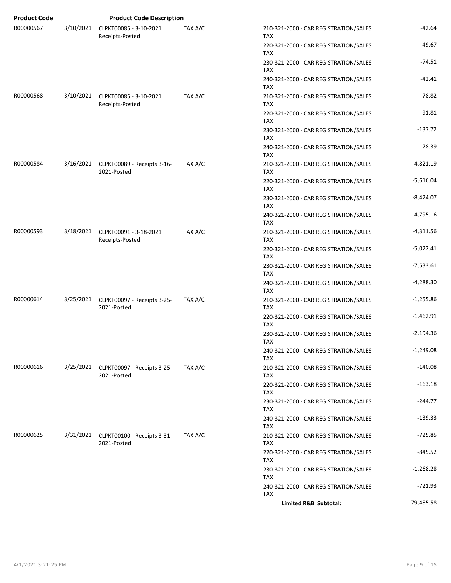| <b>Product Code</b> |           | <b>Product Code Description</b>                      |         |                                                     |              |
|---------------------|-----------|------------------------------------------------------|---------|-----------------------------------------------------|--------------|
| R00000567           | 3/10/2021 | CLPKT00085 - 3-10-2021<br>Receipts-Posted            | TAX A/C | 210-321-2000 - CAR REGISTRATION/SALES<br><b>TAX</b> | $-42.64$     |
|                     |           |                                                      |         | 220-321-2000 - CAR REGISTRATION/SALES<br><b>TAX</b> | $-49.67$     |
|                     |           |                                                      |         | 230-321-2000 - CAR REGISTRATION/SALES<br><b>TAX</b> | $-74.51$     |
|                     |           |                                                      |         | 240-321-2000 - CAR REGISTRATION/SALES<br><b>TAX</b> | -42.41       |
| R00000568           | 3/10/2021 | CLPKT00085 - 3-10-2021<br>Receipts-Posted            | TAX A/C | 210-321-2000 - CAR REGISTRATION/SALES<br><b>TAX</b> | $-78.82$     |
|                     |           |                                                      |         | 220-321-2000 - CAR REGISTRATION/SALES<br><b>TAX</b> | $-91.81$     |
|                     |           |                                                      |         | 230-321-2000 - CAR REGISTRATION/SALES<br><b>TAX</b> | $-137.72$    |
|                     |           |                                                      |         | 240-321-2000 - CAR REGISTRATION/SALES<br><b>TAX</b> | $-78.39$     |
| R00000584           |           | 3/16/2021 CLPKT00089 - Receipts 3-16-<br>2021-Posted | TAX A/C | 210-321-2000 - CAR REGISTRATION/SALES<br><b>TAX</b> | $-4,821.19$  |
|                     |           |                                                      |         | 220-321-2000 - CAR REGISTRATION/SALES<br><b>TAX</b> | $-5,616.04$  |
|                     |           |                                                      |         | 230-321-2000 - CAR REGISTRATION/SALES<br><b>TAX</b> | $-8,424.07$  |
|                     |           |                                                      |         | 240-321-2000 - CAR REGISTRATION/SALES<br><b>TAX</b> | $-4,795.16$  |
| R00000593           |           | 3/18/2021 CLPKT00091 - 3-18-2021<br>Receipts-Posted  | TAX A/C | 210-321-2000 - CAR REGISTRATION/SALES<br><b>TAX</b> | $-4,311.56$  |
|                     |           |                                                      |         | 220-321-2000 - CAR REGISTRATION/SALES<br><b>TAX</b> | $-5,022.41$  |
|                     |           |                                                      |         | 230-321-2000 - CAR REGISTRATION/SALES<br><b>TAX</b> | $-7,533.61$  |
|                     |           |                                                      |         | 240-321-2000 - CAR REGISTRATION/SALES<br>TAX        | $-4,288.30$  |
| R00000614           |           | 3/25/2021 CLPKT00097 - Receipts 3-25-<br>2021-Posted | TAX A/C | 210-321-2000 - CAR REGISTRATION/SALES<br><b>TAX</b> | $-1,255.86$  |
|                     |           |                                                      |         | 220-321-2000 - CAR REGISTRATION/SALES<br><b>TAX</b> | $-1,462.91$  |
|                     |           |                                                      |         | 230-321-2000 - CAR REGISTRATION/SALES<br>TAX        | $-2,194.36$  |
|                     |           |                                                      |         | 240-321-2000 - CAR REGISTRATION/SALES<br><b>TAX</b> | $-1,249.08$  |
| R00000616           |           | 3/25/2021 CLPKT00097 - Receipts 3-25-<br>2021-Posted | TAX A/C | 210-321-2000 - CAR REGISTRATION/SALES<br><b>TAX</b> | $-140.08$    |
|                     |           |                                                      |         | 220-321-2000 - CAR REGISTRATION/SALES<br>TAX        | $-163.18$    |
|                     |           |                                                      |         | 230-321-2000 - CAR REGISTRATION/SALES<br><b>TAX</b> | $-244.77$    |
|                     |           |                                                      |         | 240-321-2000 - CAR REGISTRATION/SALES<br>TAX        | $-139.33$    |
| R00000625           |           | 3/31/2021 CLPKT00100 - Receipts 3-31-<br>2021-Posted | TAX A/C | 210-321-2000 - CAR REGISTRATION/SALES<br><b>TAX</b> | $-725.85$    |
|                     |           |                                                      |         | 220-321-2000 - CAR REGISTRATION/SALES<br><b>TAX</b> | $-845.52$    |
|                     |           |                                                      |         | 230-321-2000 - CAR REGISTRATION/SALES<br><b>TAX</b> | $-1,268.28$  |
|                     |           |                                                      |         | 240-321-2000 - CAR REGISTRATION/SALES<br><b>TAX</b> | $-721.93$    |
|                     |           |                                                      |         | Limited R&B Subtotal:                               | $-79,485.58$ |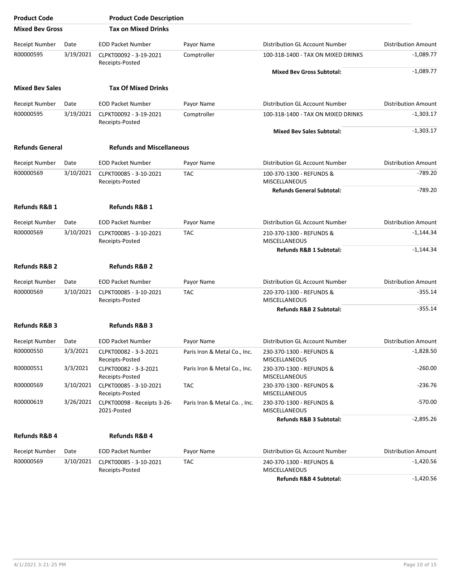| <b>Product Code</b>      |           | <b>Product Code Description</b>            |                              |                                                  |                            |
|--------------------------|-----------|--------------------------------------------|------------------------------|--------------------------------------------------|----------------------------|
| <b>Mixed Bey Gross</b>   |           | <b>Tax on Mixed Drinks</b>                 |                              |                                                  |                            |
| <b>Receipt Number</b>    | Date      | <b>EOD Packet Number</b>                   | Payor Name                   | Distribution GL Account Number                   | <b>Distribution Amount</b> |
| R00000595                | 3/19/2021 | CLPKT00092 - 3-19-2021<br>Receipts-Posted  | Comptroller                  | 100-318-1400 - TAX ON MIXED DRINKS               | $-1.089.77$                |
|                          |           |                                            |                              | <b>Mixed Bev Gross Subtotal:</b>                 | $-1,089.77$                |
| <b>Mixed Bev Sales</b>   |           | <b>Tax Of Mixed Drinks</b>                 |                              |                                                  |                            |
| <b>Receipt Number</b>    | Date      | <b>EOD Packet Number</b>                   | Payor Name                   | Distribution GL Account Number                   | <b>Distribution Amount</b> |
| R00000595                | 3/19/2021 | CLPKT00092 - 3-19-2021<br>Receipts-Posted  | Comptroller                  | 100-318-1400 - TAX ON MIXED DRINKS               | $-1,303.17$                |
|                          |           |                                            |                              | <b>Mixed Bev Sales Subtotal:</b>                 | $-1,303.17$                |
| <b>Refunds General</b>   |           | <b>Refunds and Miscellaneous</b>           |                              |                                                  |                            |
| <b>Receipt Number</b>    | Date      | <b>EOD Packet Number</b>                   | Payor Name                   | Distribution GL Account Number                   | <b>Distribution Amount</b> |
| R00000569                | 3/10/2021 | CLPKT00085 - 3-10-2021<br>Receipts-Posted  | <b>TAC</b>                   | 100-370-1300 - REFUNDS &<br><b>MISCELLANEOUS</b> | $-789.20$                  |
|                          |           |                                            |                              | <b>Refunds General Subtotal:</b>                 | $-789.20$                  |
| Refunds R&B 1            |           | <b>Refunds R&amp;B 1</b>                   |                              |                                                  |                            |
| <b>Receipt Number</b>    | Date      | <b>EOD Packet Number</b>                   | Payor Name                   | Distribution GL Account Number                   | <b>Distribution Amount</b> |
| R00000569                | 3/10/2021 | CLPKT00085 - 3-10-2021<br>Receipts-Posted  | <b>TAC</b>                   | 210-370-1300 - REFUNDS &<br><b>MISCELLANEOUS</b> | $-1,144.34$                |
|                          |           |                                            |                              | Refunds R&B 1 Subtotal:                          | $-1,144.34$                |
| <b>Refunds R&amp;B 2</b> |           | <b>Refunds R&amp;B 2</b>                   |                              |                                                  |                            |
| <b>Receipt Number</b>    | Date      | <b>EOD Packet Number</b>                   | Payor Name                   | Distribution GL Account Number                   | <b>Distribution Amount</b> |
| R00000569                | 3/10/2021 | CLPKT00085 - 3-10-2021<br>Receipts-Posted  | <b>TAC</b>                   | 220-370-1300 - REFUNDS &<br><b>MISCELLANEOUS</b> | $-355.14$                  |
|                          |           |                                            |                              | Refunds R&B 2 Subtotal:                          | $-355.14$                  |
| <b>Refunds R&amp;B 3</b> |           | <b>Refunds R&amp;B 3</b>                   |                              |                                                  |                            |
| Receipt Number           | Date      | <b>EOD Packet Number</b>                   | Payor Name                   | Distribution GL Account Number                   | <b>Distribution Amount</b> |
| R00000550                | 3/3/2021  | CLPKT00082 - 3-3-2021<br>Receipts-Posted   | Paris Iron & Metal Co., Inc. | 230-370-1300 - REFUNDS &<br>MISCELLANEOUS        | $-1,828.50$                |
| R00000551                | 3/3/2021  | CLPKT00082 - 3-3-2021<br>Receipts-Posted   | Paris Iron & Metal Co., Inc. | 230-370-1300 - REFUNDS &<br><b>MISCELLANEOUS</b> | $-260.00$                  |
| R00000569                | 3/10/2021 | CLPKT00085 - 3-10-2021<br>Receipts-Posted  | <b>TAC</b>                   | 230-370-1300 - REFUNDS &<br><b>MISCELLANEOUS</b> | -236.76                    |
| R00000619                | 3/26/2021 | CLPKT00098 - Receipts 3-26-<br>2021-Posted | Paris Iron & Metal Co., Inc. | 230-370-1300 - REFUNDS &<br><b>MISCELLANEOUS</b> | $-570.00$                  |
|                          |           |                                            |                              | Refunds R&B 3 Subtotal:                          | $-2,895.26$                |
| <b>Refunds R&amp;B 4</b> |           | <b>Refunds R&amp;B 4</b>                   |                              |                                                  |                            |
| Receipt Number           | Date      | <b>EOD Packet Number</b>                   | Payor Name                   | Distribution GL Account Number                   | <b>Distribution Amount</b> |
| R00000569                | 3/10/2021 | CLPKT00085 - 3-10-2021<br>Receipts-Posted  | <b>TAC</b>                   | 240-370-1300 - REFUNDS &<br>MISCELLANEOUS        | $-1,420.56$                |
|                          |           |                                            |                              | Refunds R&B 4 Subtotal:                          | $-1,420.56$                |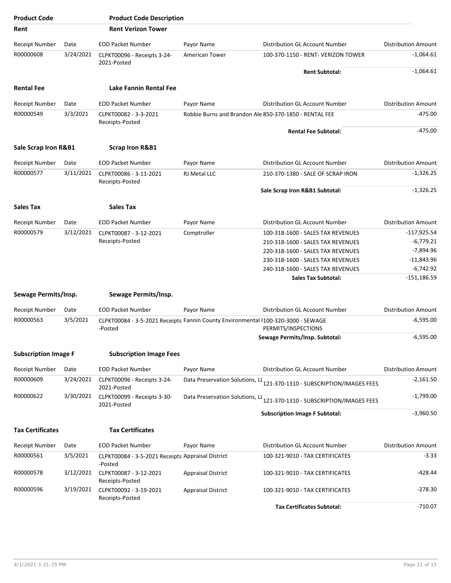| <b>Product Code</b>         |           | <b>Product Code Description</b>                                                              |                                 |                                                                         |                            |
|-----------------------------|-----------|----------------------------------------------------------------------------------------------|---------------------------------|-------------------------------------------------------------------------|----------------------------|
| Rent                        |           | <b>Rent Verizon Tower</b>                                                                    |                                 |                                                                         |                            |
| Receipt Number              | Date      | <b>EOD Packet Number</b>                                                                     | Payor Name                      | Distribution GL Account Number                                          | <b>Distribution Amount</b> |
| R00000608                   | 3/24/2021 | CLPKT00096 - Receipts 3-24-<br>2021-Posted                                                   | American Tower                  | 100-370-1150 - RENT- VERIZON TOWER                                      | $-1,064.61$                |
|                             |           |                                                                                              |                                 | <b>Rent Subtotal:</b>                                                   | $-1,064.61$                |
| <b>Rental Fee</b>           |           | Lake Fannin Rental Fee                                                                       |                                 |                                                                         |                            |
| Receipt Number              | Date      | <b>EOD Packet Number</b>                                                                     | Payor Name                      | Distribution GL Account Number                                          | <b>Distribution Amount</b> |
| R00000549                   | 3/3/2021  | CLPKT00082 - 3-3-2021<br>Receipts-Posted                                                     |                                 | Robbie Burns and Brandon Ale:850-370-1850 - RENTAL FEE                  | $-475.00$                  |
|                             |           |                                                                                              |                                 | <b>Rental Fee Subtotal:</b>                                             | $-475.00$                  |
| Sale Scrap Iron R&B1        |           | <b>Scrap Iron R&amp;B1</b>                                                                   |                                 |                                                                         |                            |
| Receipt Number              | Date      | <b>EOD Packet Number</b>                                                                     | Payor Name                      | Distribution GL Account Number                                          | <b>Distribution Amount</b> |
| R00000577                   | 3/11/2021 | CLPKT00086 - 3-11-2021                                                                       | <b>RJ Metal LLC</b>             | 210-370-1380 - SALE OF SCRAP IRON                                       | $-1,326.25$                |
|                             |           | Receipts-Posted                                                                              |                                 |                                                                         |                            |
|                             |           |                                                                                              |                                 | Sale Scrap Iron R&B1 Subtotal:                                          | $-1,326.25$                |
| <b>Sales Tax</b>            |           | <b>Sales Tax</b>                                                                             |                                 |                                                                         |                            |
| Receipt Number              | Date      | <b>EOD Packet Number</b>                                                                     | Payor Name                      | Distribution GL Account Number                                          | <b>Distribution Amount</b> |
| R00000579                   | 3/12/2021 | CLPKT00087 - 3-12-2021                                                                       | Comptroller                     | 100-318-1600 - SALES TAX REVENUES                                       | $-117,925.54$              |
|                             |           | Receipts-Posted                                                                              |                                 | 210-318-1600 - SALES TAX REVENUES                                       | $-6,779.21$                |
|                             |           |                                                                                              |                                 | 220-318-1600 - SALES TAX REVENUES                                       | $-7,894.96$                |
|                             |           |                                                                                              |                                 | 230-318-1600 - SALES TAX REVENUES                                       | $-11,843.96$               |
|                             |           |                                                                                              |                                 | 240-318-1600 - SALES TAX REVENUES                                       | $-6,742.92$                |
|                             |           |                                                                                              |                                 | <b>Sales Tax Subtotal:</b>                                              | $-151,186.59$              |
| Sewage Permits/Insp.        |           | Sewage Permits/Insp.                                                                         |                                 |                                                                         |                            |
| Receipt Number              | Date      | <b>EOD Packet Number</b>                                                                     | Payor Name                      | Distribution GL Account Number                                          | <b>Distribution Amount</b> |
| R00000563                   | 3/5/2021  | CLPKT00084 - 3-5-2021 Receipts Fannin County Environmental I100-320-3000 - SEWAGE<br>-Posted |                                 | PERMITS/INSPECTIONS                                                     | $-6,595.00$                |
|                             |           |                                                                                              |                                 | Sewage Permits/Insp. Subtotal:                                          | $-6,595.00$                |
|                             |           |                                                                                              |                                 |                                                                         |                            |
| <b>Subscription Image F</b> |           | <b>Subscription Image Fees</b>                                                               |                                 |                                                                         |                            |
| Receipt Number              | Date      | <b>EOD Packet Number</b>                                                                     | Payor Name                      | <b>Distribution GL Account Number</b>                                   | <b>Distribution Amount</b> |
| R00000609                   | 3/24/2021 | CLPKT00096 - Receipts 3-24-<br>2021-Posted                                                   |                                 | Data Preservation Solutions, LL 121-370-1310 - SUBSCRIPTION/IMAGES FEES | $-2,161.50$                |
| R00000622                   | 3/30/2021 | CLPKT00099 - Receipts 3-30-<br>2021-Posted                                                   | Data Preservation Solutions, LL | 121-370-1310 - SUBSCRIPTION/IMAGES FEES                                 | $-1,799.00$                |
|                             |           |                                                                                              |                                 | <b>Subscription Image F Subtotal:</b>                                   | $-3,960.50$                |
| <b>Tax Certificates</b>     |           | <b>Tax Certificates</b>                                                                      |                                 |                                                                         |                            |
| Receipt Number              | Date      | <b>EOD Packet Number</b>                                                                     | Payor Name                      | Distribution GL Account Number                                          | <b>Distribution Amount</b> |
| R00000561                   | 3/5/2021  | CLPKT00084 - 3-5-2021 Receipts Appraisal District<br>-Posted                                 |                                 | 100-321-9010 - TAX CERTIFICATES                                         | $-3.33$                    |
| R00000578                   | 3/12/2021 | CLPKT00087 - 3-12-2021<br>Receipts-Posted                                                    | <b>Appraisal District</b>       | 100-321-9010 - TAX CERTIFICATES                                         | $-428.44$                  |
| R00000596                   | 3/19/2021 | CLPKT00092 - 3-19-2021<br>Receipts-Posted                                                    | <b>Appraisal District</b>       | 100-321-9010 - TAX CERTIFICATES                                         | $-278.30$                  |
|                             |           |                                                                                              |                                 | <b>Tax Certificates Subtotal:</b>                                       | $-710.07$                  |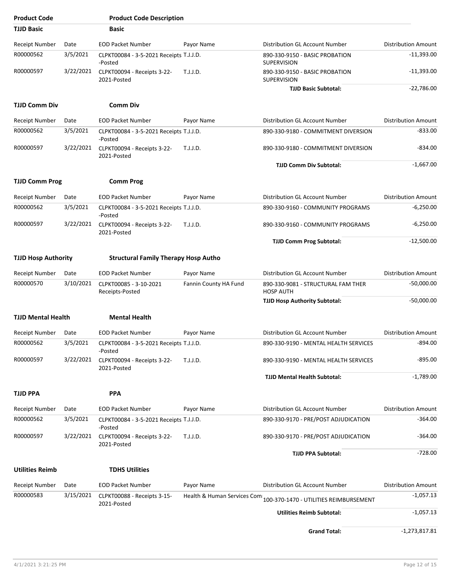| <b>Product Code</b>        |           | <b>Product Code Description</b>                    |                       |                                                                    |                            |
|----------------------------|-----------|----------------------------------------------------|-----------------------|--------------------------------------------------------------------|----------------------------|
| <b>TJJD Basic</b>          |           | Basic                                              |                       |                                                                    |                            |
| Receipt Number             | Date      | <b>EOD Packet Number</b>                           | Payor Name            | Distribution GL Account Number                                     | <b>Distribution Amount</b> |
| R00000562                  | 3/5/2021  | CLPKT00084 - 3-5-2021 Receipts T.J.J.D.<br>-Posted |                       | 890-330-9150 - BASIC PROBATION<br><b>SUPERVISION</b>               | $-11,393.00$               |
| R00000597                  | 3/22/2021 | CLPKT00094 - Receipts 3-22-<br>2021-Posted         | T.J.J.D.              | 890-330-9150 - BASIC PROBATION<br><b>SUPERVISION</b>               | $-11,393.00$               |
|                            |           |                                                    |                       | <b>TJJD Basic Subtotal:</b>                                        | $-22,786.00$               |
| <b>TJJD Comm Div</b>       |           | <b>Comm Div</b>                                    |                       |                                                                    |                            |
| Receipt Number             | Date      | <b>EOD Packet Number</b>                           | Payor Name            | Distribution GL Account Number                                     | <b>Distribution Amount</b> |
| R00000562                  | 3/5/2021  | CLPKT00084 - 3-5-2021 Receipts T.J.J.D.<br>-Posted |                       | 890-330-9180 - COMMITMENT DIVERSION                                | $-833.00$                  |
| R00000597                  | 3/22/2021 | CLPKT00094 - Receipts 3-22-<br>2021-Posted         | T.J.J.D.              | 890-330-9180 - COMMITMENT DIVERSION                                | $-834.00$                  |
|                            |           |                                                    |                       | <b>TJJD Comm Div Subtotal:</b>                                     | $-1,667.00$                |
| <b>TJJD Comm Prog</b>      |           | <b>Comm Prog</b>                                   |                       |                                                                    |                            |
| Receipt Number             | Date      | <b>EOD Packet Number</b>                           | Payor Name            | Distribution GL Account Number                                     | <b>Distribution Amount</b> |
| R00000562                  | 3/5/2021  | CLPKT00084 - 3-5-2021 Receipts T.J.J.D.<br>-Posted |                       | 890-330-9160 - COMMUNITY PROGRAMS                                  | $-6,250.00$                |
| R00000597                  | 3/22/2021 | CLPKT00094 - Receipts 3-22-<br>2021-Posted         | T.J.J.D.              | 890-330-9160 - COMMUNITY PROGRAMS                                  | $-6,250.00$                |
|                            |           |                                                    |                       | <b>TJJD Comm Prog Subtotal:</b>                                    | $-12,500.00$               |
| <b>TJJD Hosp Authority</b> |           | <b>Structural Family Therapy Hosp Autho</b>        |                       |                                                                    |                            |
| Receipt Number             | Date      | <b>EOD Packet Number</b>                           | Payor Name            | Distribution GL Account Number                                     | <b>Distribution Amount</b> |
| R00000570                  | 3/10/2021 | CLPKT00085 - 3-10-2021<br>Receipts-Posted          | Fannin County HA Fund | 890-330-9081 - STRUCTURAL FAM THER<br><b>HOSP AUTH</b>             | $-50,000.00$               |
|                            |           |                                                    |                       | <b>TJJD Hosp Authority Subtotal:</b>                               | $-50,000.00$               |
| <b>TJJD Mental Health</b>  |           | <b>Mental Health</b>                               |                       |                                                                    |                            |
| Receipt Number             | Date      | <b>EOD Packet Number</b>                           | Payor Name            | Distribution GL Account Number                                     | <b>Distribution Amount</b> |
| R00000562                  | 3/5/2021  | CLPKT00084 - 3-5-2021 Receipts T.J.J.D.<br>-Posted |                       | 890-330-9190 - MENTAL HEALTH SERVICES                              | -894.00                    |
| R00000597                  | 3/22/2021 | CLPKT00094 - Receipts 3-22-<br>2021-Posted         | T.J.J.D.              | 890-330-9190 - MENTAL HEALTH SERVICES                              | -895.00                    |
|                            |           |                                                    |                       | <b>TJJD Mental Health Subtotal:</b>                                | $-1,789.00$                |
| TJJD PPA                   |           | <b>PPA</b>                                         |                       |                                                                    |                            |
| Receipt Number             | Date      | <b>EOD Packet Number</b>                           | Payor Name            | Distribution GL Account Number                                     | <b>Distribution Amount</b> |
| R00000562                  | 3/5/2021  | CLPKT00084 - 3-5-2021 Receipts T.J.J.D.            |                       | 890-330-9170 - PRE/POST ADJUDICATION                               | $-364.00$                  |
| R00000597                  | 3/22/2021 | -Posted<br>CLPKT00094 - Receipts 3-22-             | T.J.J.D.              | 890-330-9170 - PRE/POST ADJUDICATION                               | $-364.00$                  |
|                            |           | 2021-Posted                                        |                       | <b>TJJD PPA Subtotal:</b>                                          | $-728.00$                  |
|                            |           |                                                    |                       |                                                                    |                            |
| <b>Utilities Reimb</b>     |           | <b>TDHS Utilities</b>                              |                       |                                                                    |                            |
| Receipt Number             | Date      | <b>EOD Packet Number</b>                           | Payor Name            | Distribution GL Account Number                                     | <b>Distribution Amount</b> |
| R00000583                  | 3/15/2021 | CLPKT00088 - Receipts 3-15-<br>2021-Posted         |                       | Health & Human Services Com 100-370-1470 - UTILITIES REIMBURSEMENT | $-1,057.13$                |
|                            |           |                                                    |                       | <b>Utilities Reimb Subtotal:</b>                                   | $-1,057.13$                |
|                            |           |                                                    |                       | <b>Grand Total:</b>                                                | $-1,273,817.81$            |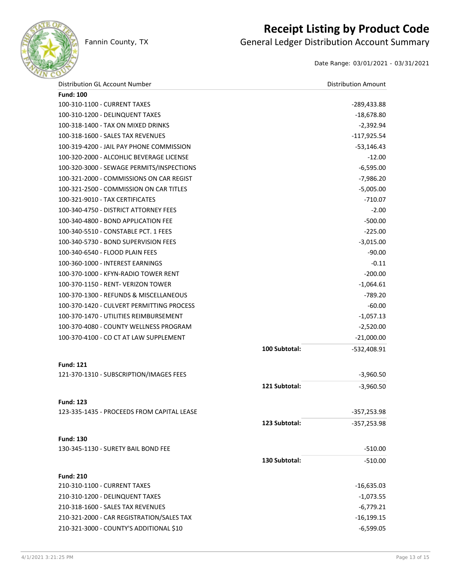

### **Receipt Listing by Product Code**

Fannin County, TX **General Ledger Distribution Account Summary** 

Date Range: 03/01/2021 - 03/31/2021

| Distribution GL Account Number             |               | <b>Distribution Amount</b> |
|--------------------------------------------|---------------|----------------------------|
| <b>Fund: 100</b>                           |               |                            |
| 100-310-1100 - CURRENT TAXES               |               | -289,433.88                |
| 100-310-1200 - DELINQUENT TAXES            |               | $-18,678.80$               |
| 100-318-1400 - TAX ON MIXED DRINKS         |               | $-2,392.94$                |
| 100-318-1600 - SALES TAX REVENUES          |               | $-117,925.54$              |
| 100-319-4200 - JAIL PAY PHONE COMMISSION   |               | $-53,146.43$               |
| 100-320-2000 - ALCOHLIC BEVERAGE LICENSE   |               | $-12.00$                   |
| 100-320-3000 - SEWAGE PERMITS/INSPECTIONS  |               | $-6,595.00$                |
| 100-321-2000 - COMMISSIONS ON CAR REGIST   |               | $-7,986.20$                |
| 100-321-2500 - COMMISSION ON CAR TITLES    |               | $-5,005.00$                |
| 100-321-9010 - TAX CERTIFICATES            |               | $-710.07$                  |
| 100-340-4750 - DISTRICT ATTORNEY FEES      |               | $-2.00$                    |
| 100-340-4800 - BOND APPLICATION FEE        |               | $-500.00$                  |
| 100-340-5510 - CONSTABLE PCT. 1 FEES       |               | $-225.00$                  |
| 100-340-5730 - BOND SUPERVISION FEES       |               | $-3,015.00$                |
| 100-340-6540 - FLOOD PLAIN FEES            |               | $-90.00$                   |
| 100-360-1000 - INTEREST EARNINGS           |               | $-0.11$                    |
| 100-370-1000 - KFYN-RADIO TOWER RENT       |               | $-200.00$                  |
| 100-370-1150 - RENT- VERIZON TOWER         |               | $-1,064.61$                |
| 100-370-1300 - REFUNDS & MISCELLANEOUS     |               | $-789.20$                  |
| 100-370-1420 - CULVERT PERMITTING PROCESS  |               | $-60.00$                   |
| 100-370-1470 - UTILITIES REIMBURSEMENT     |               | $-1,057.13$                |
| 100-370-4080 - COUNTY WELLNESS PROGRAM     |               | $-2,520.00$                |
| 100-370-4100 - CO CT AT LAW SUPPLEMENT     |               | $-21,000.00$               |
|                                            | 100 Subtotal: | -532,408.91                |
| <b>Fund: 121</b>                           |               |                            |
| 121-370-1310 - SUBSCRIPTION/IMAGES FEES    |               | $-3,960.50$                |
|                                            | 121 Subtotal: | $-3,960.50$                |
| <b>Fund: 123</b>                           |               |                            |
| 123-335-1435 - PROCEEDS FROM CAPITAL LEASE |               | -357,253.98                |
|                                            | 123 Subtotal: | $-357,253.98$              |
| <b>Fund: 130</b>                           |               |                            |
| 130-345-1130 - SURETY BAIL BOND FEE        |               | $-510.00$                  |
|                                            | 130 Subtotal: | $-510.00$                  |
| <b>Fund: 210</b>                           |               |                            |
| 210-310-1100 - CURRENT TAXES               |               | $-16,635.03$               |
| 210-310-1200 - DELINQUENT TAXES            |               | $-1,073.55$                |
| 210-318-1600 - SALES TAX REVENUES          |               | $-6,779.21$                |
| 210-321-2000 - CAR REGISTRATION/SALES TAX  |               | $-16, 199.15$              |
| 210-321-3000 - COUNTY'S ADDITIONAL \$10    |               | $-6,599.05$                |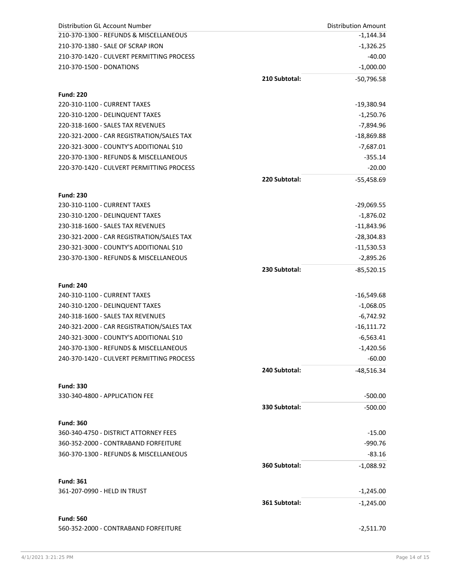| Distribution GL Account Number            |               | <b>Distribution Amount</b> |
|-------------------------------------------|---------------|----------------------------|
| 210-370-1300 - REFUNDS & MISCELLANEOUS    |               | $-1,144.34$                |
| 210-370-1380 - SALE OF SCRAP IRON         |               | $-1,326.25$                |
| 210-370-1420 - CULVERT PERMITTING PROCESS |               | $-40.00$                   |
| 210-370-1500 - DONATIONS                  |               | $-1,000.00$                |
|                                           | 210 Subtotal: | $-50,796.58$               |
|                                           |               |                            |
| <b>Fund: 220</b>                          |               |                            |
| 220-310-1100 - CURRENT TAXES              |               | $-19,380.94$               |
| 220-310-1200 - DELINQUENT TAXES           |               | $-1,250.76$                |
| 220-318-1600 - SALES TAX REVENUES         |               | $-7,894.96$                |
| 220-321-2000 - CAR REGISTRATION/SALES TAX |               | -18,869.88                 |
| 220-321-3000 - COUNTY'S ADDITIONAL \$10   |               | $-7,687.01$                |
| 220-370-1300 - REFUNDS & MISCELLANEOUS    |               | $-355.14$                  |
| 220-370-1420 - CULVERT PERMITTING PROCESS |               | $-20.00$                   |
|                                           | 220 Subtotal: | $-55,458.69$               |
|                                           |               |                            |
| <b>Fund: 230</b>                          |               |                            |
| 230-310-1100 - CURRENT TAXES              |               | $-29,069.55$               |
| 230-310-1200 - DELINQUENT TAXES           |               | $-1,876.02$                |
| 230-318-1600 - SALES TAX REVENUES         |               | $-11,843.96$               |
| 230-321-2000 - CAR REGISTRATION/SALES TAX |               | $-28,304.83$               |
| 230-321-3000 - COUNTY'S ADDITIONAL \$10   |               | $-11,530.53$               |
| 230-370-1300 - REFUNDS & MISCELLANEOUS    |               | $-2,895.26$                |
|                                           | 230 Subtotal: | $-85,520.15$               |
| <b>Fund: 240</b>                          |               |                            |
| 240-310-1100 - CURRENT TAXES              |               | -16,549.68                 |
| 240-310-1200 - DELINQUENT TAXES           |               | $-1,068.05$                |
| 240-318-1600 - SALES TAX REVENUES         |               | $-6,742.92$                |
| 240-321-2000 - CAR REGISTRATION/SALES TAX |               | $-16,111.72$               |
| 240-321-3000 - COUNTY'S ADDITIONAL \$10   |               | $-6,563.41$                |
| 240-370-1300 - REFUNDS & MISCELLANEOUS    |               | $-1,420.56$                |
| 240-370-1420 - CULVERT PERMITTING PROCESS |               | $-60.00$                   |
|                                           |               |                            |
|                                           | 240 Subtotal: | $-48,516.34$               |
| <b>Fund: 330</b>                          |               |                            |
| 330-340-4800 - APPLICATION FEE            |               | $-500.00$                  |
|                                           | 330 Subtotal: | $-500.00$                  |
|                                           |               |                            |
| <b>Fund: 360</b>                          |               |                            |
| 360-340-4750 - DISTRICT ATTORNEY FEES     |               | $-15.00$                   |
| 360-352-2000 - CONTRABAND FORFEITURE      |               | $-990.76$                  |
| 360-370-1300 - REFUNDS & MISCELLANEOUS    |               | $-83.16$                   |
|                                           | 360 Subtotal: | $-1,088.92$                |
| <b>Fund: 361</b>                          |               |                            |
| 361-207-0990 - HELD IN TRUST              |               | $-1,245.00$                |
|                                           | 361 Subtotal: | $-1,245.00$                |
|                                           |               |                            |
| <b>Fund: 560</b>                          |               |                            |
| 560-352-2000 - CONTRABAND FORFEITURE      |               | $-2,511.70$                |